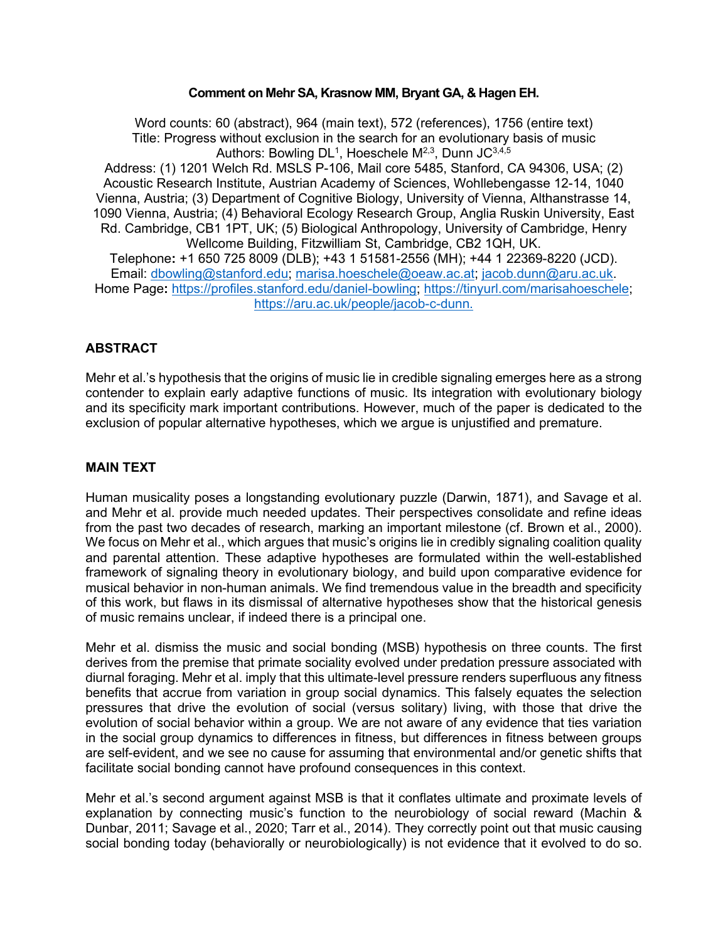#### **Comment on Mehr SA, Krasnow MM, Bryant GA, & Hagen EH.**

Word counts: 60 (abstract), 964 (main text), 572 (references), 1756 (entire text) Title: Progress without exclusion in the search for an evolutionary basis of music Authors: Bowling DL $^{\rm 1}$ , Hoeschele M $^{\rm 2,3}$ , Dunn JC $^{\rm 3,4,5}$ Address: (1) 1201 Welch Rd. MSLS P-106, Mail core 5485, Stanford, CA 94306, USA; (2) Acoustic Research Institute, Austrian Academy of Sciences, Wohllebengasse 12-14, 1040 Vienna, Austria; (3) Department of Cognitive Biology, University of Vienna, Althanstrasse 14, 1090 Vienna, Austria; (4) Behavioral Ecology Research Group, Anglia Ruskin University, East Rd. Cambridge, CB1 1PT, UK; (5) Biological Anthropology, University of Cambridge, Henry Wellcome Building, Fitzwilliam St, Cambridge, CB2 1QH, UK. Telephone**:** +1 650 725 8009 (DLB); +43 1 51581-2556 (MH); +44 1 22369-8220 (JCD). Email: [dbowling@stanford.edu;](mailto:dbowling@stanford.edu) [marisa.hoeschele@oeaw.ac.at;](mailto:marisa.hoeschele@oeaw.ac.at) [jacob.dunn@aru.ac.uk.](mailto:jacob.dunn@aru.ac.uk) Home Page**:** [https://profiles.stanford.edu/daniel-bowling;](https://profiles.stanford.edu/daniel-bowling) [https://tinyurl.com/marisahoeschele;](https://tinyurl.com/marisahoeschele) [https://aru.ac.uk/people/jacob-c-dunn.](https://aru.ac.uk/people/jacob-c-dunn)

# **ABSTRACT**

Mehr et al.'s hypothesis that the origins of music lie in credible signaling emerges here as a strong contender to explain early adaptive functions of music. Its integration with evolutionary biology and its specificity mark important contributions. However, much of the paper is dedicated to the exclusion of popular alternative hypotheses, which we argue is unjustified and premature.

# **MAIN TEXT**

Human musicality poses a longstanding evolutionary puzzle (Darwin, 1871), and Savage et al. and Mehr et al. provide much needed updates. Their perspectives consolidate and refine ideas from the past two decades of research, marking an important milestone (cf. Brown et al., 2000). We focus on Mehr et al., which argues that music's origins lie in credibly signaling coalition quality and parental attention. These adaptive hypotheses are formulated within the well-established framework of signaling theory in evolutionary biology, and build upon comparative evidence for musical behavior in non-human animals. We find tremendous value in the breadth and specificity of this work, but flaws in its dismissal of alternative hypotheses show that the historical genesis of music remains unclear, if indeed there is a principal one.

Mehr et al. dismiss the music and social bonding (MSB) hypothesis on three counts. The first derives from the premise that primate sociality evolved under predation pressure associated with diurnal foraging. Mehr et al. imply that this ultimate-level pressure renders superfluous any fitness benefits that accrue from variation in group social dynamics. This falsely equates the selection pressures that drive the evolution of social (versus solitary) living, with those that drive the evolution of social behavior within a group. We are not aware of any evidence that ties variation in the social group dynamics to differences in fitness, but differences in fitness between groups are self-evident, and we see no cause for assuming that environmental and/or genetic shifts that facilitate social bonding cannot have profound consequences in this context.

Mehr et al.'s second argument against MSB is that it conflates ultimate and proximate levels of explanation by connecting music's function to the neurobiology of social reward (Machin & Dunbar, 2011; Savage et al., 2020; Tarr et al., 2014). They correctly point out that music causing social bonding today (behaviorally or neurobiologically) is not evidence that it evolved to do so.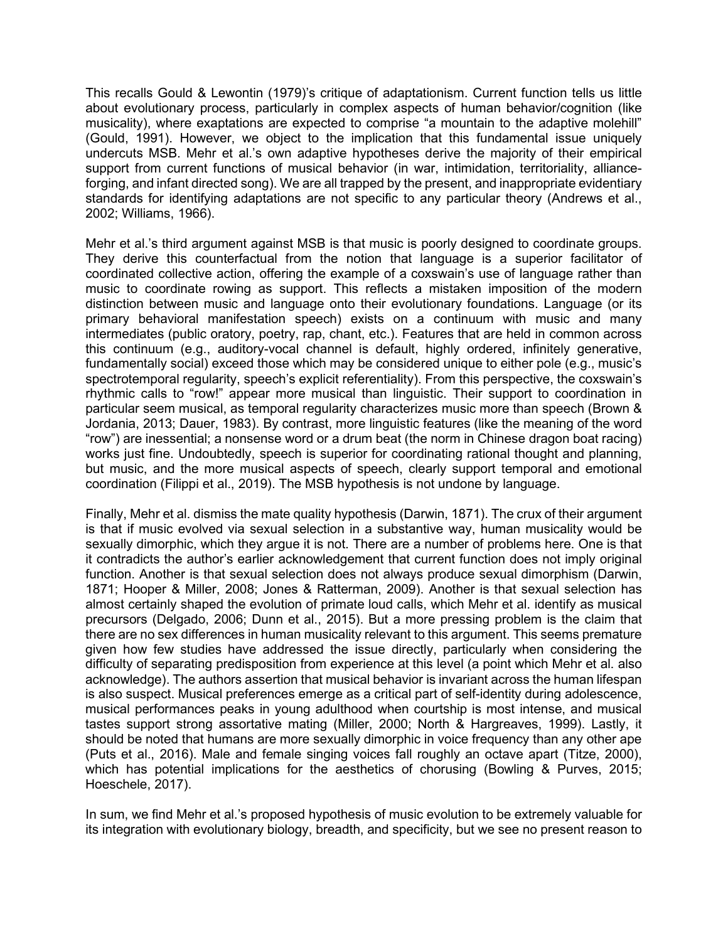This recalls Gould & Lewontin (1979)'s critique of adaptationism. Current function tells us little about evolutionary process, particularly in complex aspects of human behavior/cognition (like musicality), where exaptations are expected to comprise "a mountain to the adaptive molehill" (Gould, 1991). However, we object to the implication that this fundamental issue uniquely undercuts MSB. Mehr et al.'s own adaptive hypotheses derive the majority of their empirical support from current functions of musical behavior (in war, intimidation, territoriality, allianceforging, and infant directed song). We are all trapped by the present, and inappropriate evidentiary standards for identifying adaptations are not specific to any particular theory (Andrews et al., 2002; Williams, 1966).

Mehr et al.'s third argument against MSB is that music is poorly designed to coordinate groups. They derive this counterfactual from the notion that language is a superior facilitator of coordinated collective action, offering the example of a coxswain's use of language rather than music to coordinate rowing as support. This reflects a mistaken imposition of the modern distinction between music and language onto their evolutionary foundations. Language (or its primary behavioral manifestation speech) exists on a continuum with music and many intermediates (public oratory, poetry, rap, chant, etc.). Features that are held in common across this continuum (e.g., auditory-vocal channel is default, highly ordered, infinitely generative, fundamentally social) exceed those which may be considered unique to either pole (e.g., music's spectrotemporal regularity, speech's explicit referentiality). From this perspective, the coxswain's rhythmic calls to "row!" appear more musical than linguistic. Their support to coordination in particular seem musical, as temporal regularity characterizes music more than speech (Brown & Jordania, 2013; Dauer, 1983). By contrast, more linguistic features (like the meaning of the word "row") are inessential; a nonsense word or a drum beat (the norm in Chinese dragon boat racing) works just fine. Undoubtedly, speech is superior for coordinating rational thought and planning, but music, and the more musical aspects of speech, clearly support temporal and emotional coordination (Filippi et al., 2019). The MSB hypothesis is not undone by language.

Finally, Mehr et al. dismiss the mate quality hypothesis (Darwin, 1871). The crux of their argument is that if music evolved via sexual selection in a substantive way, human musicality would be sexually dimorphic, which they argue it is not. There are a number of problems here. One is that it contradicts the author's earlier acknowledgement that current function does not imply original function. Another is that sexual selection does not always produce sexual dimorphism (Darwin, 1871; Hooper & Miller, 2008; Jones & Ratterman, 2009). Another is that sexual selection has almost certainly shaped the evolution of primate loud calls, which Mehr et al. identify as musical precursors (Delgado, 2006; Dunn et al., 2015). But a more pressing problem is the claim that there are no sex differences in human musicality relevant to this argument. This seems premature given how few studies have addressed the issue directly, particularly when considering the difficulty of separating predisposition from experience at this level (a point which Mehr et al. also acknowledge). The authors assertion that musical behavior is invariant across the human lifespan is also suspect. Musical preferences emerge as a critical part of self-identity during adolescence, musical performances peaks in young adulthood when courtship is most intense, and musical tastes support strong assortative mating (Miller, 2000; North & Hargreaves, 1999). Lastly, it should be noted that humans are more sexually dimorphic in voice frequency than any other ape (Puts et al., 2016). Male and female singing voices fall roughly an octave apart (Titze, 2000), which has potential implications for the aesthetics of chorusing (Bowling & Purves, 2015; Hoeschele, 2017).

In sum, we find Mehr et al.'s proposed hypothesis of music evolution to be extremely valuable for its integration with evolutionary biology, breadth, and specificity, but we see no present reason to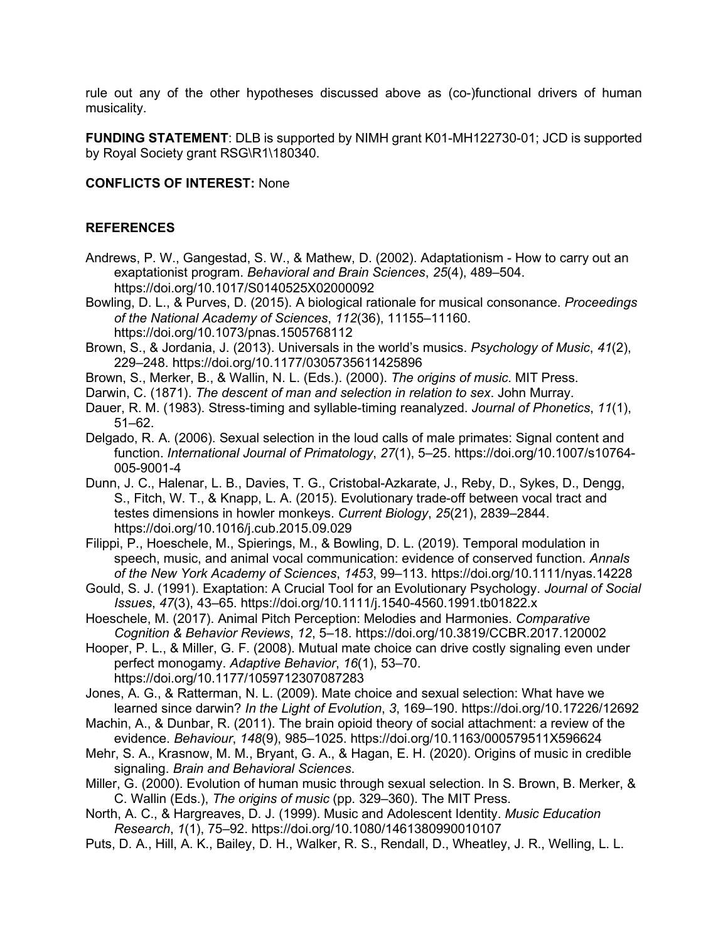rule out any of the other hypotheses discussed above as (co-)functional drivers of human musicality.

**FUNDING STATEMENT**: DLB is supported by NIMH grant K01-MH122730-01; JCD is supported bv Royal Society grant RSG\R1\180340.

## **CONFLICTS OF INTEREST:** None

## **REFERENCES**

- Andrews, P. W., Gangestad, S. W., & Mathew, D. (2002). Adaptationism How to carry out an exaptationist program. *Behavioral and Brain Sciences*, *25*(4), 489–504. https://doi.org/10.1017/S0140525X02000092
- Bowling, D. L., & Purves, D. (2015). A biological rationale for musical consonance. *Proceedings of the National Academy of Sciences*, *112*(36), 11155–11160. https://doi.org/10.1073/pnas.1505768112
- Brown, S., & Jordania, J. (2013). Universals in the world's musics. *Psychology of Music*, *41*(2), 229–248. https://doi.org/10.1177/0305735611425896
- Brown, S., Merker, B., & Wallin, N. L. (Eds.). (2000). *The origins of music*. MIT Press.
- Darwin, C. (1871). *The descent of man and selection in relation to sex*. John Murray.
- Dauer, R. M. (1983). Stress-timing and syllable-timing reanalyzed. *Journal of Phonetics*, *11*(1), 51–62.
- Delgado, R. A. (2006). Sexual selection in the loud calls of male primates: Signal content and function. *International Journal of Primatology*, *27*(1), 5–25. https://doi.org/10.1007/s10764- 005-9001-4
- Dunn, J. C., Halenar, L. B., Davies, T. G., Cristobal-Azkarate, J., Reby, D., Sykes, D., Dengg, S., Fitch, W. T., & Knapp, L. A. (2015). Evolutionary trade-off between vocal tract and testes dimensions in howler monkeys. *Current Biology*, *25*(21), 2839–2844. https://doi.org/10.1016/j.cub.2015.09.029
- Filippi, P., Hoeschele, M., Spierings, M., & Bowling, D. L. (2019). Temporal modulation in speech, music, and animal vocal communication: evidence of conserved function. *Annals of the New York Academy of Sciences*, *1453*, 99–113. https://doi.org/10.1111/nyas.14228
- Gould, S. J. (1991). Exaptation: A Crucial Tool for an Evolutionary Psychology. *Journal of Social Issues*, *47*(3), 43–65. https://doi.org/10.1111/j.1540-4560.1991.tb01822.x
- Hoeschele, M. (2017). Animal Pitch Perception: Melodies and Harmonies. *Comparative Cognition & Behavior Reviews*, *12*, 5–18. https://doi.org/10.3819/CCBR.2017.120002
- Hooper, P. L., & Miller, G. F. (2008). Mutual mate choice can drive costly signaling even under perfect monogamy. *Adaptive Behavior*, *16*(1), 53–70. https://doi.org/10.1177/1059712307087283
- Jones, A. G., & Ratterman, N. L. (2009). Mate choice and sexual selection: What have we learned since darwin? *In the Light of Evolution*, *3*, 169–190. https://doi.org/10.17226/12692
- Machin, A., & Dunbar, R. (2011). The brain opioid theory of social attachment: a review of the evidence. *Behaviour*, *148*(9), 985–1025. https://doi.org/10.1163/000579511X596624
- Mehr, S. A., Krasnow, M. M., Bryant, G. A., & Hagan, E. H. (2020). Origins of music in credible signaling. *Brain and Behavioral Sciences*.
- Miller, G. (2000). Evolution of human music through sexual selection. In S. Brown, B. Merker, & C. Wallin (Eds.), *The origins of music* (pp. 329–360). The MIT Press.
- North, A. C., & Hargreaves, D. J. (1999). Music and Adolescent Identity. *Music Education Research*, *1*(1), 75–92. https://doi.org/10.1080/1461380990010107
- Puts, D. A., Hill, A. K., Bailey, D. H., Walker, R. S., Rendall, D., Wheatley, J. R., Welling, L. L.